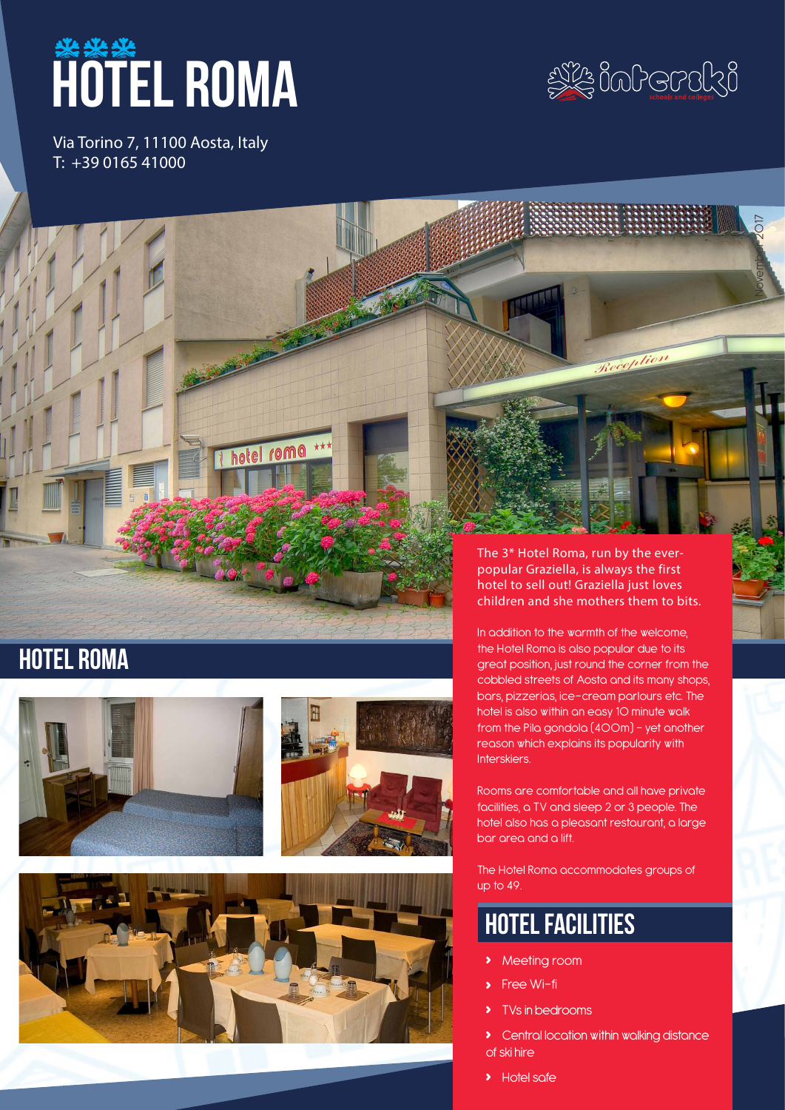# **HOTEL ROMA**

Via Torino 7, 11100 Aosta, Italy T: +39 0165 41000



Reception

November 2017



In addition to the warmth of the welcome, the Hotel Roma is also popular due to its great position, just round the corner from the cobbled streets of Aosta and its many shops, bars, pizzerias, ice-cream parlours etc. The hotel is also within an easy 10 minute walk from the Pila gondola (400m) - yet another reason which explains its popularity with Interskiers.

Rooms are comfortable and all have private facilities, a TV and sleep 2 or 3 people. The hotel also has a pleasant restaurant, a large bar area and a lift.

The Hotel Roma accommodates groups of up to 49.

# hotel facilities

- **›** Meeting room
- **›** Free Wi-fi
- **›** TVs in bedrooms
- **›** Central location within walking distance of ski hire
- **›** Hotel safe



hotel Roma





hotel roma